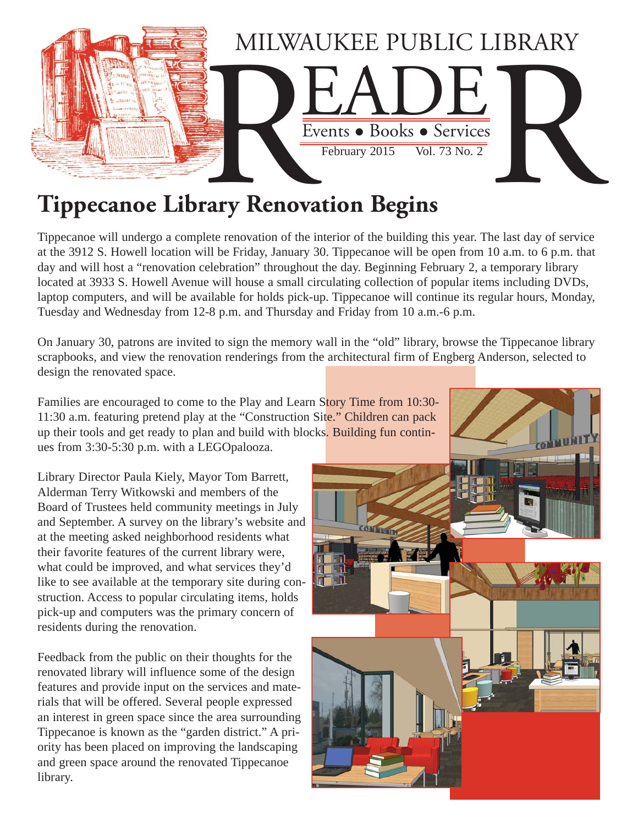

# **Tippecanoe Library Renovation Begins**

Tippecanoe will undergo a complete renovation of the interior of the building this year. The last day of service at the 3912 S. Howell location will be Friday, January 30. Tippecanoe will be open from 10 a.m. to 6 p.m. that day and will host a "renovation celebration" throughout the day. Beginning February 2, a temporary library located at 3933 S. Howell Avenue will house a small circulating collection of popular items including DVDs, laptop computers, and will be available for holds pick-up. Tippecanoe will continue its regular hours, Monday, Tuesday and Wednesday from 12-8 p.m. and Thursday and Friday from 10 a.m.-6 p.m.

On January 30, patrons are invited to sign the memory wall in the "old" library, browse the Tippecanoe library scrapbooks, and view the renovation renderings from the architectural firm of Engberg Anderson, selected to design the renovated space.

Families are encouraged to come to the Play and Learn Story Time from 10:30- 11:30 a.m. featuring pretend play at the "Construction Site." Children can pack up their tools and get ready to plan and build with blocks. Building fun continues from 3:30-5:30 p.m. with a LEGOpalooza.

Library Director Paula Kiely, Mayor Tom Barrett, Alderman Terry Witkowski and members of the Board of Trustees held community meetings in July and September. A survey on the library's website and at the meeting asked neighborhood residents what their favorite features of the current library were, what could be improved, and what services they'd like to see available at the temporary site during construction. Access to popular circulating items, holds pick-up and computers was the primary concern of residents during the renovation.

Feedback from the public on their thoughts for the renovated library will influence some of the design features and provide input on the services and materials that will be offered. Several people expressed an interest in green space since the area surrounding Tippecanoe is known as the "garden district." A priority has been placed on improving the landscaping and green space around the renovated Tippecanoe library.

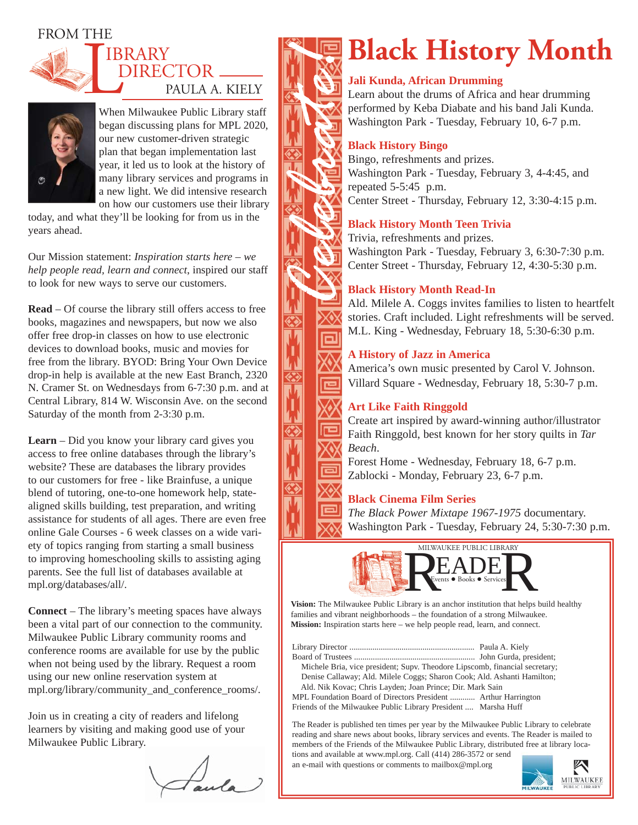# FROM THE



# DIRECTOR \_\_ PAULA A. KIELY IBRARY



When Milwaukee Public Library staff began discussing plans for MPL 2020, our new customer-driven strategic plan that began implementation last year, it led us to look at the history of many library services and programs in a new light. We did intensive research on how our customers use their library

today, and what they'll be looking for from us in the years ahead.

Our Mission statement: *Inspiration starts here – we help people read, learn and connect*, inspired our staff to look for new ways to serve our customers.

**Read** – Of course the library still offers access to free books, magazines and newspapers, but now we also offer free drop-in classes on how to use electronic devices to download books, music and movies for free from the library. BYOD: Bring Your Own Device drop-in help is available at the new East Branch, 2320 N. Cramer St. on Wednesdays from 6-7:30 p.m. and at Central Library, 814 W. Wisconsin Ave. on the second Saturday of the month from 2-3:30 p.m.

**Learn** – Did you know your library card gives you access to free online databases through the library's website? These are databases the library provides to our customers for free - like Brainfuse, a unique blend of tutoring, one-to-one homework help, statealigned skills building, test preparation, and writing assistance for students of all ages. There are even free online Gale Courses - 6 week classes on a wide variety of topics ranging from starting a small business to improving homeschooling skills to assisting aging parents. See the full list of databases available at mpl.org/databases/all/.

**Connect** – The library's meeting spaces have always been a vital part of our connection to the community. Milwaukee Public Library community rooms and conference rooms are available for use by the public when not being used by the library. Request a room using our new online reservation system at mpl.org/library/community\_and\_conference\_rooms/.

Join us in creating a city of readers and lifelong learners by visiting and making good use of your Milwaukee Public Library.

Faula



# **Black History Month**

## **Jali Kunda, African Drumming**

Learn about the drums of Africa and hear drumming performed by Keba Diabate and his band Jali Kunda. Washington Park - Tuesday, February 10, 6-7 p.m.

## **Black History Bingo**

Bingo, refreshments and prizes. Washington Park - Tuesday, February 3, 4-4:45, and repeated 5-5:45 p.m. Center Street - Thursday, February 12, 3:30-4:15 p.m.

# **Black History Month Teen Trivia**

Trivia, refreshments and prizes. Washington Park - Tuesday, February 3, 6:30-7:30 p.m. Center Street - Thursday, February 12, 4:30-5:30 p.m.

# **Black History Month Read-In**

Ald. Milele A. Coggs invites families to listen to heartfelt stories. Craft included. Light refreshments will be served. M.L. King - Wednesday, February 18, 5:30-6:30 p.m.

## **A History of Jazz in America**

America's own music presented by Carol V. Johnson. Villard Square - Wednesday, February 18, 5:30-7 p.m.

# **Art Like Faith Ringgold**

Create art inspired by award-winning author/illustrator Faith Ringgold, best known for her story quilts in *Tar Beach*.

Forest Home - Wednesday, February 18, 6-7 p.m. Zablocki - Monday, February 23, 6-7 p.m.

## **Black Cinema Film Series**

*The Black Power Mixtape 1967-1975* documentary. Washington Park - Tuesday, February 24, 5:30-7:30 p.m.



**Vision:** The Milwaukee Public Library is an anchor institution that helps build healthy families and vibrant neighborhoods – the foundation of a strong Milwaukee. **Mission:** Inspiration starts here – we help people read, learn, and connect.

Library Director ............................................................ Paula A. Kiely Board of Trustees .......................................................... John Gurda, president; Michele Bria, vice president; Supv. Theodore Lipscomb, financial secretary; Denise Callaway; Ald. Milele Coggs; Sharon Cook; Ald. Ashanti Hamilton; Ald. Nik Kovac; Chris Layden; Joan Prince; Dir. Mark Sain

MPL Foundation Board of Directors President ............ Arthur Harrington Friends of the Milwaukee Public Library President .... Marsha Huff

The Reader is published ten times per year by the Milwaukee Public Library to celebrate reading and share news about books, library services and events. The Reader is mailed to members of the Friends of the Milwaukee Public Library, distributed free at library locations and available at www.mpl.org. Call (414) 286-3572 or send

an e-mail with questions or comments to mailbox@mpl.org

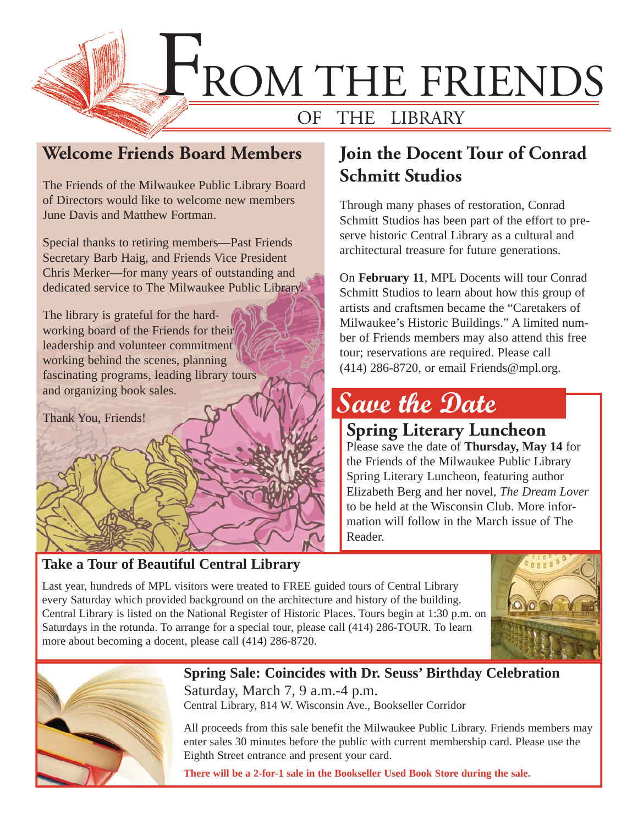

# **Welcome Friends Board Members**

The Friends of the Milwaukee Public Library Board of Directors would like to welcome new members June Davis and Matthew Fortman.

Special thanks to retiring members—Past Friends Secretary Barb Haig, and Friends Vice President Chris Merker—for many years of outstanding and dedicated service to The Milwaukee Public Library.

The library is grateful for the hardworking board of the Friends for their leadership and volunteer commitment working behind the scenes, planning fascinating programs, leading library tours and organizing book sales.

Thank You, Friends!

# **Take a Tour of Beautiful Central Library**

# **Join the Docent Tour of Conrad Schmitt Studios**

Through many phases of restoration, Conrad Schmitt Studios has been part of the effort to preserve historic Central Library as a cultural and architectural treasure for future generations.

On **February 11**, MPL Docents will tour Conrad Schmitt Studios to learn about how this group of artists and craftsmen became the "Caretakers of Milwaukee's Historic Buildings." A limited number of Friends members may also attend this free tour; reservations are required. Please call (414) 286-8720, or email Friends@mpl.org.

# **Save the Date**

**Spring Literary Luncheon** Please save the date of **Thursday, May 14** for the Friends of the Milwaukee Public Library Spring Literary Luncheon, featuring author Elizabeth Berg and her novel, *The Dream Lover* to be held at the Wisconsin Club. More information will follow in the March issue of The Reader.

Last year, hundreds of MPL visitors were treated to FREE guided tours of Central Library every Saturday which provided background on the architecture and history of the building. Central Library is listed on the National Register of Historic Places. Tours begin at 1:30 p.m. on Saturdays in the rotunda. To arrange for a special tour, please call (414) 286-TOUR. To learn more about becoming a docent, please call (414) 286-8720.





**Spring Sale: Coincides with Dr. Seuss' Birthday Celebration** Saturday, March 7, 9 a.m.-4 p.m. Central Library, 814 W. Wisconsin Ave., Bookseller Corridor

All proceeds from this sale benefit the Milwaukee Public Library. Friends members may enter sales 30 minutes before the public with current membership card. Please use the Eighth Street entrance and present your card.

**There will be a 2-for-1 sale in the Bookseller Used Book Store during the sale.**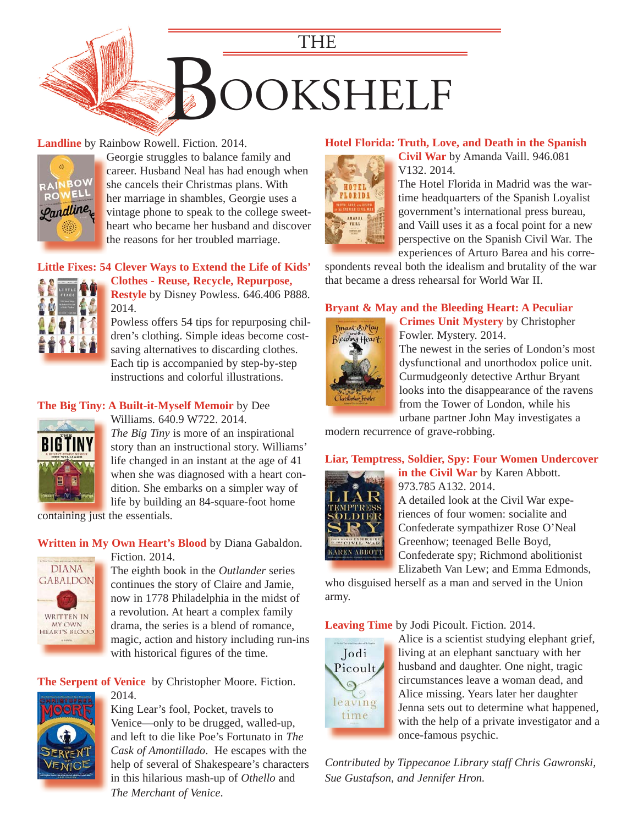

## **Landline** by Rainbow Rowell. Fiction. 2014.



Georgie struggles to balance family and G career. Husband Neal has had enough when she cancels their Christmas plans. With her marriage in shambles, Georgie uses a h vintage phone to speak to the college sweet[heart who became her husband and discover](https://encore.mcfls.org/iii/encore/record/C__Rb3760045)  h the reasons for her troubled marriage.

# **[Little Fixes: 54 Clever Ways to Extend the Life of Kids'](https://encore.mcfls.org/iii/encore/record/C__Rb3756653)**



**Clothes - Reuse, Recycle, Repurpose, Restyle** by Disney Powless. 646.406 P888. 2014.

Powless offers 54 tips for repurposing children's clothing. Simple ideas become costsaving alternatives to discarding clothes. Each tip is accompanied by step-by-step instructions and colorful illustrations.

#### **The Big Tiny: A Built-it-Myself Memoir** by Dee



Williams. 640.9 W722. 2014. *The Big Tiny* is more of an inspirational [story than an instructional story. Williams'](https://encore.mcfls.org/iii/encore/record/C__Rb3737461)  life changed in an instant at the age of 41 when she was diagnosed with a heart condition. She embarks on a simpler way of life by building an 84-square-foot home

containing just the essentials. containing just

#### **Written in My Own Heart's Blood** by Diana Gabaldon.



Fiction. 2014.

The eighth book in the *Outlander* series continues the story of Claire and Jamie, now in 1778 Philadelphia in the midst of a revolution. At heart a complex family drama, the series is a blend of romance, [magic, action and history including run-ins](https://encore.mcfls.org/iii/encore/record/C__Rb3706494)  with historical figures of the time.

## **The Serpent of Venice** by Christopher Moore. Fiction.



2014.

King Lear's fool, Pocket, travels to Venice—only to be drugged, walled-up, and left to die like Poe's Fortunato in *The Cask of Amontillado*. He escapes with the [help of several of Shakespeare's characters](https://encore.mcfls.org/iii/encore/record/C__Rb3739803)  in this hilarious mash-up of *Othello* and *The Merchant of Venice*.

## **Hotel Florida: Truth, Love, and Death in the Spanish**



**Civil War** by Amanda Vaill. 946.081 V132. 2014.

The Hotel Florida in Madrid was the wartime headquarters of the Spanish Loyalist government's international press bureau, and Vaill uses it as a focal point for a new perspective on the Spanish Civil War. The experiences of Arturo Barea and his corre-

[spondents reveal both the idealism and brutality of the war](https://encore.mcfls.org/iii/encore/record/C__Rb3736433)  that became a dress rehearsal for World War II.

# **[Bryant & May and the Bleeding Heart: A Peculiar](https://encore.mcfls.org/iii/encore/record/C__Rb3771706)**



**Crimes Unit Mystery** by Christopher Fowler. Mystery. 2014.

The newest in the series of London's most dysfunctional and unorthodox police unit. Curmudgeonly detective Arthur Bryant looks into the disappearance of the ravens from the Tower of London, while his urbane partner John May investigates a

modern recurrence of grave-robbing.

# **[Liar, Temptress, Soldier, Spy: Four Women Undercover](https://encore.mcfls.org/iii/encore/record/C__Rb3774351)**



**in the Civil War** by Karen Abbott. 973.785 A132. 2014.

A detailed look at the Civil War experiences of four women: socialite and Confederate sympathizer Rose O'Neal Greenhow; teenaged Belle Boyd, Confederate spy; Richmond abolitionist Elizabeth Van Lew; and Emma Edmonds,

who disguised herself as a man and served in the Union army.

**Leaving Time** by Jodi Picoult. Fiction. 2014.



Alice is a scientist studying elephant grief, living at an elephant sanctuary with her husband and daughter. One night, tragic circumstances leave a woman dead, and Alice missing. Years later her daughter Jenna sets out to determine what happened, [with the help of a private investigator and a](https://encore.mcfls.org/iii/encore/record/C__Rb3778716)  once-famous psychic.

*Contributed by Tippecanoe Library staff Chris Gawronski, Sue Gustafson, and Jennifer Hron.*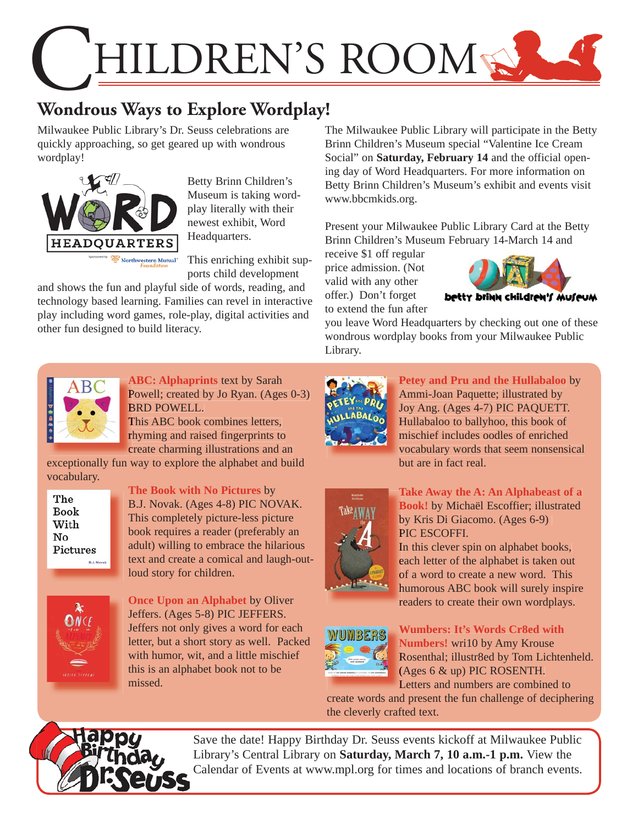

# **Wondrous Ways to Explore Wordplay!**

Milwaukee Public Library's Dr. Seuss celebrations are quickly approaching, so get geared up with wondrous wordplay!



Betty Brinn Children's Museum is taking wordplay literally with their newest exhibit, Word Headquarters.

This enriching exhibit supports child development

and shows the fun and playful side of words, reading, and technology based learning. Families can revel in interactive play including word games, role-play, digital activities and other fun designed to build literacy.

The Milwaukee Public Library will participate in the Betty Brinn Children's Museum special "Valentine Ice Cream Social" on **Saturday, February 14** and the official opening day of Word Headquarters. For more information on Betty Brinn Children's Museum's exhibit and events visit www.bbcmkids.org.

Present your Milwaukee Public Library Card at the Betty Brinn Children's Museum February 14-March 14 and

receive \$1 off regular price admission. (Not valid with any other offer.) Don't forget to extend the fun after



you leave Word Headquarters by checking out one of these wondrous wordplay books from your Milwaukee Public Library.



**ABC: Alphaprints** text by Sarah **A** Powell; created by Jo Ryan. (Ages 0-3) BRD POWELL. B

This ABC book combines letters, T rhyming and raised fingerprints to create charming illustrations and an c

[exceptionally fun way to explore the alphabet and build](https://encore.mcfls.org/iii/encore/record/C__Rb3713672)  vocabulary.



**The Book with No Pictures** by B.J. Novak. (Ages 4-8) PIC NOVAK. This completely picture-less picture book requires a reader (preferably an adult) willing to embrace the hilarious [text and create a comical and laugh-out](https://encore.mcfls.org/iii/encore/record/C__Rb3781966)loud story for children.



**Once Upon an Alphabet** by Oliver Jeffers. (Ages 5-8) PIC JEFFERS. Jeffers not only gives a word for each [letter, but a short story as well. Packed](https://encore.mcfls.org/iii/encore/record/C__Rb3769786)  with humor, wit, and a little mischief this is an alphabet book not to be missed.



Petey and Pru and the Hullabaloo by Ammi-Joan Paquette; illustrated by A Joy Ang. (Ages 4-7) PIC PAQUETT. J Hullabaloo to ballyhoo, this book of H mischief includes oodles of enriched m [vocabulary words that seem nonsensical](https://encore.mcfls.org/iii/encore/record/C__Rb3712685)  v but are in fact real.



Take Away the A: An Alphabeast of a **Book!** by Michaël Escoffier; illustrated **B** by Kris Di Giacomo. (Ages 6-9) b PIC ESCOFFI. P

In this clever spin on alphabet books, each letter of the alphabet is taken out of a word to create a new word. This [humorous ABC book will surely inspire](https://encore.mcfls.org/iii/encore/record/C__Rb3781202)  h readers to create their own wordplays.



**Wumbers: It's Words Cr8ed with Numbers!** wri10 by Amy Krouse **N** Rosenthal; illustr8ed by Tom Lichtenheld. R (Ages 6 & up) PIC ROSENTH. ( Letters and numbers are combined to L

[create words and present the fun challenge of deciphering](https://encore.mcfls.org/iii/encore/record/C__Rb3580806)  the cleverly crafted text.



 Save the date! Happy Birthday Dr. Seuss events kickoff at Milwaukee Public Library's Central Library on **Saturday, March 7, 10 a.m.-1 p.m.** View the Calendar of Events at www.mpl.org for times and locations of branch events.